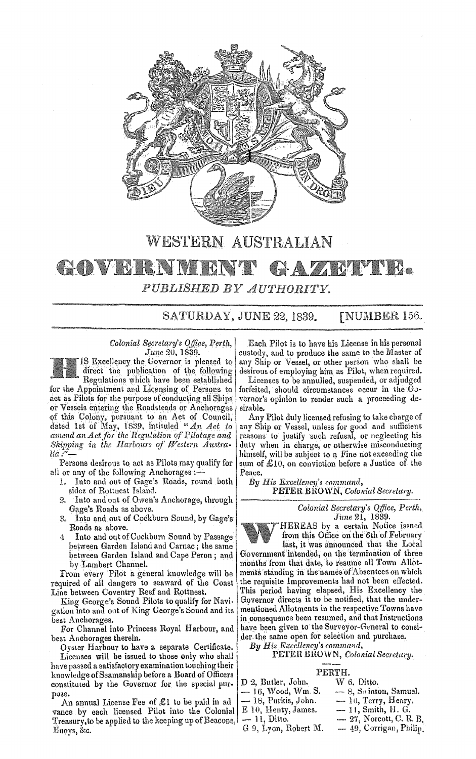

## WESTERN AUSTRALIAN

# **COVERNM** PUBLISHED BY AUTHORITY.

SATURDAY, JUNE 22, 1839. [NUMBER 156.

*Colonial Secretary's Office, Perth, June* 20, 1839.

IS Excellency the Governor is pleased to direct the publication of the following Regulations which have been established

for the Appointment and Licensing of Persons to act as Pilots for the purpose of conducting all Ships or Vessels entering the Roadsteads or Anchorages <qf this Colony, pursuant to an Act of Council, dated 12t of May, 1839, intituled *"An Act to amend an Actfor the Regu.lation of Pilotage and*  Shipping in the Harbours of Western Austra-<br>lia:"-

Persons desirous to act as Pilots may qualify for all or any of the following Anchorages : $-$ 

- 1. Into and out of Gage's Roads, round both sides of Rottnest Island.
- 2. Into and out of Owen's Anchorage, through Gage's Roads as above.
- Into and out of Cockburn Sound, by Gage's 3. Roads as above.
- Into and out of Cuckburn Sound by Passage 4 between Garden Island and Carnac; the same between Garden Island and Cape Peron; and by Lambert Channel.

From every Pilot a general knowledge will be required of all dangers to seaward of the Coast Line between Coventry Reef and Rottnest.

King George'8 Sound Pilots to qualify for Navi· gation into and out of King George's Sound and its best Anchorages.

For Channel into Princess Royal Harbour, and best Anchorages therein.

Oyster Harbour to have a separate Certificate. Licenses will be issued to those only who shall have passed a satisfactory examination touching their knowledge of Seamanship before a Board of Officers constituted by the Governor for the special purpose.

An annual License Fee of  $$1$  to be paid in ad vance by each licensed Pilot into the Colonial Treasury, to be applied to the keeping up of Beacons, Buoys, &c.

Each Pilot is to have his License in his personal custody, and to produce the same to the Master of any Ship or Vessel, or other person who shall be desirous of employing him as Pilot, when required.

Licenses to be annulled, suspended, or adjudged forfeited, should circumstances occur in the Governor's opinion to render such a proceeding desirable.

Any Pilot duly licensed refusing to take charge of any Ship or Vessel, unless for good and sufficient reasons to justify such refusal, or neglecting his duty when in charge, or otherwise misconducting himself, will be subject to a Fine not exceeding the sum of £10, on conviction before a Justice of the Peace.

*By His Excellency's command,* PETER BROWN, *Colonial Secretary.* 

> *Colonial Secretary's QlJice, Perth, June* 21, l839.

HEREAS by a certain Notice issued from this Office on the 6th of Februarv last, it was announced that the Local Government intended, on the termination of three

months from that date, to resume all Town Allot. ments standing in the names of Absentees on which the requisite Improvements had not been effected. This period having elapsed, His Excellency the Governor directs it to be notified, that the undermentioned Allotments in the respective Towns have in consequence been resumed, and that Instructions have been given to the Surveyor-General to consider the same open for selection and purchase.

By His Excellency's command,

### PETER BROWN, *Colonial Secretary.*

#### PERTH.

| D 2. Butler, John.  | W 6. Ditto.               |
|---------------------|---------------------------|
| — 16, Wood, Wm. S.  | $-8$ , Swinton, Samuel.   |
| — 18, Purkis, John. | $-10$ , Terry, Henry.     |
| E 10, Henty, James. | $-11$ , Smith, $H. G.$    |
| $-11$ , Ditto.      | $-27$ , Norcott, C. R. B. |

 $G$  9, Lyon, Robert M.  $-49$ , Corrigan, Philip.